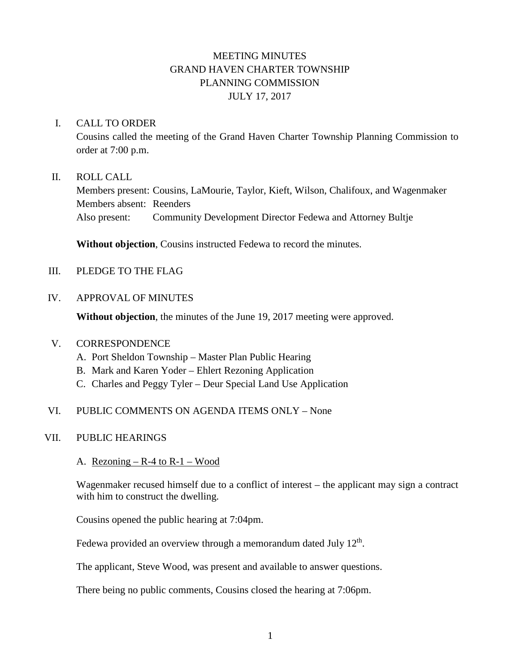# MEETING MINUTES GRAND HAVEN CHARTER TOWNSHIP PLANNING COMMISSION JULY 17, 2017

#### I. CALL TO ORDER

Cousins called the meeting of the Grand Haven Charter Township Planning Commission to order at 7:00 p.m.

#### II. ROLL CALL

Members present: Cousins, LaMourie, Taylor, Kieft, Wilson, Chalifoux, and Wagenmaker Members absent: Reenders Also present: Community Development Director Fedewa and Attorney Bultje

**Without objection**, Cousins instructed Fedewa to record the minutes.

- III. PLEDGE TO THE FLAG
- IV. APPROVAL OF MINUTES

**Without objection**, the minutes of the June 19, 2017 meeting were approved.

#### V. CORRESPONDENCE

- A. Port Sheldon Township Master Plan Public Hearing
- B. Mark and Karen Yoder Ehlert Rezoning Application
- C. Charles and Peggy Tyler Deur Special Land Use Application

# VI. PUBLIC COMMENTS ON AGENDA ITEMS ONLY – None

#### VII. PUBLIC HEARINGS

A. Rezoning  $-R-4$  to  $R-1$  – Wood

Wagenmaker recused himself due to a conflict of interest – the applicant may sign a contract with him to construct the dwelling.

Cousins opened the public hearing at 7:04pm.

Fedewa provided an overview through a memorandum dated July  $12<sup>th</sup>$ .

The applicant, Steve Wood, was present and available to answer questions.

There being no public comments, Cousins closed the hearing at 7:06pm.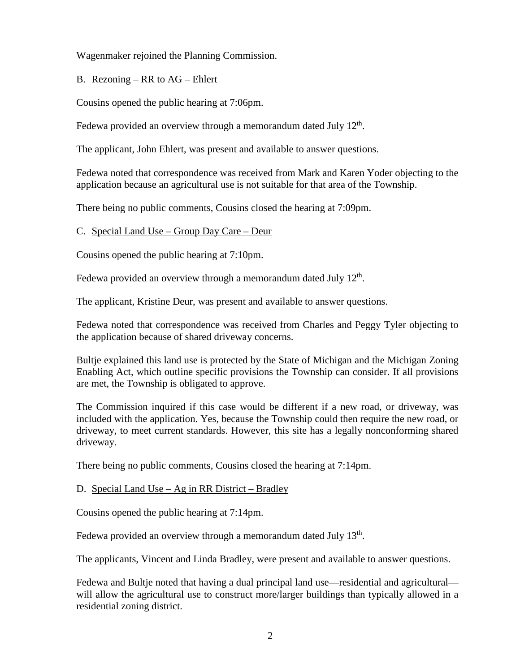Wagenmaker rejoined the Planning Commission.

# B. Rezoning – RR to AG – Ehlert

Cousins opened the public hearing at 7:06pm.

Fedewa provided an overview through a memorandum dated July  $12<sup>th</sup>$ .

The applicant, John Ehlert, was present and available to answer questions.

Fedewa noted that correspondence was received from Mark and Karen Yoder objecting to the application because an agricultural use is not suitable for that area of the Township.

There being no public comments, Cousins closed the hearing at 7:09pm.

#### C. Special Land Use – Group Day Care – Deur

Cousins opened the public hearing at 7:10pm.

Fedewa provided an overview through a memorandum dated July  $12<sup>th</sup>$ .

The applicant, Kristine Deur, was present and available to answer questions.

Fedewa noted that correspondence was received from Charles and Peggy Tyler objecting to the application because of shared driveway concerns.

Bultje explained this land use is protected by the State of Michigan and the Michigan Zoning Enabling Act, which outline specific provisions the Township can consider. If all provisions are met, the Township is obligated to approve.

The Commission inquired if this case would be different if a new road, or driveway, was included with the application. Yes, because the Township could then require the new road, or driveway, to meet current standards. However, this site has a legally nonconforming shared driveway.

There being no public comments, Cousins closed the hearing at 7:14pm.

#### D. Special Land Use – Ag in RR District – Bradley

Cousins opened the public hearing at 7:14pm.

Fedewa provided an overview through a memorandum dated July  $13<sup>th</sup>$ .

The applicants, Vincent and Linda Bradley, were present and available to answer questions.

Fedewa and Bultje noted that having a dual principal land use—residential and agricultural will allow the agricultural use to construct more/larger buildings than typically allowed in a residential zoning district.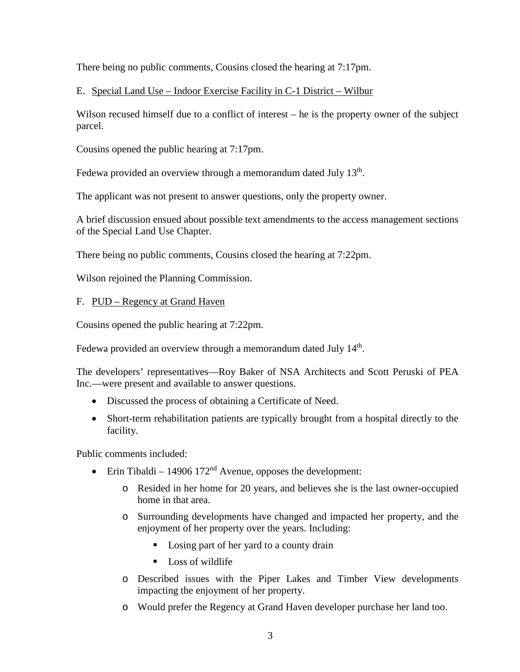There being no public comments, Cousins closed the hearing at 7:17pm.

# E. Special Land Use – Indoor Exercise Facility in C-1 District – Wilbur

Wilson recused himself due to a conflict of interest – he is the property owner of the subject parcel.

Cousins opened the public hearing at 7:17pm.

Fedewa provided an overview through a memorandum dated July  $13<sup>th</sup>$ .

The applicant was not present to answer questions, only the property owner.

A brief discussion ensued about possible text amendments to the access management sections of the Special Land Use Chapter.

There being no public comments, Cousins closed the hearing at 7:22pm.

Wilson rejoined the Planning Commission.

# F. PUD – Regency at Grand Haven

Cousins opened the public hearing at 7:22pm.

Fedewa provided an overview through a memorandum dated July 14<sup>th</sup>.

The developers' representatives—Roy Baker of NSA Architects and Scott Peruski of PEA Inc.—were present and available to answer questions.

- Discussed the process of obtaining a Certificate of Need.
- Short-term rehabilitation patients are typically brought from a hospital directly to the facility.

Public comments included:

- Erin Tibaldi 14906 172<sup>nd</sup> Avenue, opposes the development:
	- o Resided in her home for 20 years, and believes she is the last owner-occupied home in that area.
	- o Surrounding developments have changed and impacted her property, and the enjoyment of her property over the years. Including:
		- Losing part of her yard to a county drain
		- **Loss of wildlife**
	- o Described issues with the Piper Lakes and Timber View developments impacting the enjoyment of her property.
	- o Would prefer the Regency at Grand Haven developer purchase her land too.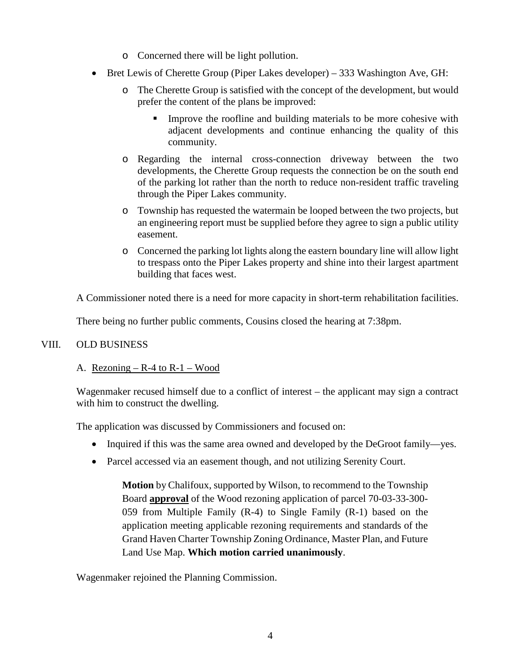- o Concerned there will be light pollution.
- Bret Lewis of Cherette Group (Piper Lakes developer) 333 Washington Ave, GH:
	- o The Cherette Group is satisfied with the concept of the development, but would prefer the content of the plans be improved:
		- Improve the roofline and building materials to be more cohesive with adjacent developments and continue enhancing the quality of this community.
	- o Regarding the internal cross-connection driveway between the two developments, the Cherette Group requests the connection be on the south end of the parking lot rather than the north to reduce non-resident traffic traveling through the Piper Lakes community.
	- o Township has requested the watermain be looped between the two projects, but an engineering report must be supplied before they agree to sign a public utility easement.
	- o Concerned the parking lot lights along the eastern boundary line will allow light to trespass onto the Piper Lakes property and shine into their largest apartment building that faces west.

A Commissioner noted there is a need for more capacity in short-term rehabilitation facilities.

There being no further public comments, Cousins closed the hearing at 7:38pm.

# VIII. OLD BUSINESS

# A. Rezoning  $-R-4$  to  $R-1$  – Wood

Wagenmaker recused himself due to a conflict of interest – the applicant may sign a contract with him to construct the dwelling.

The application was discussed by Commissioners and focused on:

- Inquired if this was the same area owned and developed by the DeGroot family—yes.
- Parcel accessed via an easement though, and not utilizing Serenity Court.

**Motion** by Chalifoux, supported by Wilson, to recommend to the Township Board **approval** of the Wood rezoning application of parcel 70-03-33-300- 059 from Multiple Family (R-4) to Single Family (R-1) based on the application meeting applicable rezoning requirements and standards of the Grand Haven Charter Township Zoning Ordinance, Master Plan, and Future Land Use Map. **Which motion carried unanimously**.

Wagenmaker rejoined the Planning Commission.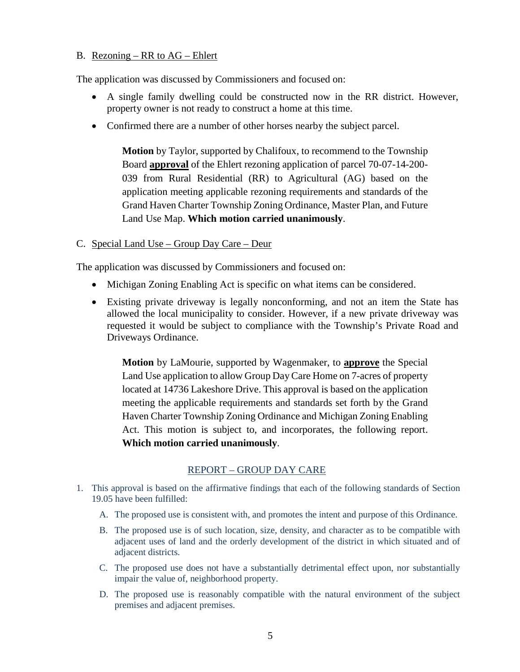## B. Rezoning – RR to AG – Ehlert

The application was discussed by Commissioners and focused on:

- A single family dwelling could be constructed now in the RR district. However, property owner is not ready to construct a home at this time.
- Confirmed there are a number of other horses nearby the subject parcel.

**Motion** by Taylor, supported by Chalifoux, to recommend to the Township Board **approval** of the Ehlert rezoning application of parcel 70-07-14-200- 039 from Rural Residential (RR) to Agricultural (AG) based on the application meeting applicable rezoning requirements and standards of the Grand Haven Charter Township Zoning Ordinance, Master Plan, and Future Land Use Map. **Which motion carried unanimously**.

## C. Special Land Use – Group Day Care – Deur

The application was discussed by Commissioners and focused on:

- Michigan Zoning Enabling Act is specific on what items can be considered.
- Existing private driveway is legally nonconforming, and not an item the State has allowed the local municipality to consider. However, if a new private driveway was requested it would be subject to compliance with the Township's Private Road and Driveways Ordinance.

**Motion** by LaMourie, supported by Wagenmaker, to **approve** the Special Land Use application to allow Group Day Care Home on 7-acres of property located at 14736 Lakeshore Drive. This approval is based on the application meeting the applicable requirements and standards set forth by the Grand Haven Charter Township Zoning Ordinance and Michigan Zoning Enabling Act. This motion is subject to, and incorporates, the following report. **Which motion carried unanimously**.

# REPORT – GROUP DAY CARE

- 1. This approval is based on the affirmative findings that each of the following standards of Section 19.05 have been fulfilled:
	- A. The proposed use is consistent with, and promotes the intent and purpose of this Ordinance.
	- B. The proposed use is of such location, size, density, and character as to be compatible with adjacent uses of land and the orderly development of the district in which situated and of adjacent districts.
	- C. The proposed use does not have a substantially detrimental effect upon, nor substantially impair the value of, neighborhood property.
	- D. The proposed use is reasonably compatible with the natural environment of the subject premises and adjacent premises.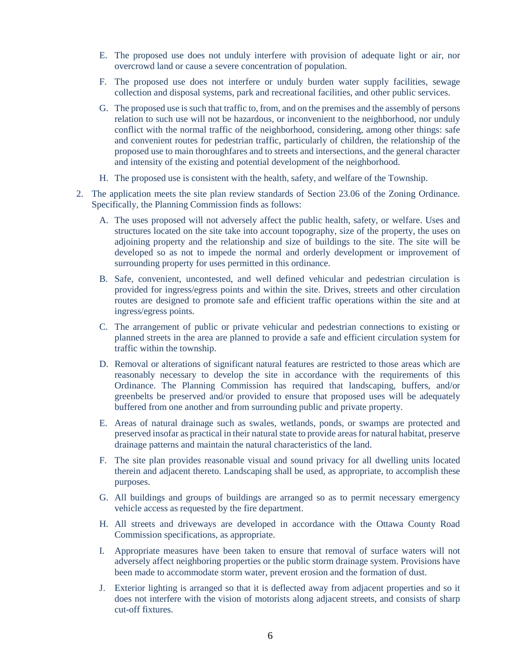- E. The proposed use does not unduly interfere with provision of adequate light or air, nor overcrowd land or cause a severe concentration of population.
- F. The proposed use does not interfere or unduly burden water supply facilities, sewage collection and disposal systems, park and recreational facilities, and other public services.
- G. The proposed use is such that traffic to, from, and on the premises and the assembly of persons relation to such use will not be hazardous, or inconvenient to the neighborhood, nor unduly conflict with the normal traffic of the neighborhood, considering, among other things: safe and convenient routes for pedestrian traffic, particularly of children, the relationship of the proposed use to main thoroughfares and to streets and intersections, and the general character and intensity of the existing and potential development of the neighborhood.
- H. The proposed use is consistent with the health, safety, and welfare of the Township.
- 2. The application meets the site plan review standards of Section 23.06 of the Zoning Ordinance. Specifically, the Planning Commission finds as follows:
	- A. The uses proposed will not adversely affect the public health, safety, or welfare. Uses and structures located on the site take into account topography, size of the property, the uses on adjoining property and the relationship and size of buildings to the site. The site will be developed so as not to impede the normal and orderly development or improvement of surrounding property for uses permitted in this ordinance.
	- B. Safe, convenient, uncontested, and well defined vehicular and pedestrian circulation is provided for ingress/egress points and within the site. Drives, streets and other circulation routes are designed to promote safe and efficient traffic operations within the site and at ingress/egress points.
	- C. The arrangement of public or private vehicular and pedestrian connections to existing or planned streets in the area are planned to provide a safe and efficient circulation system for traffic within the township.
	- D. Removal or alterations of significant natural features are restricted to those areas which are reasonably necessary to develop the site in accordance with the requirements of this Ordinance. The Planning Commission has required that landscaping, buffers, and/or greenbelts be preserved and/or provided to ensure that proposed uses will be adequately buffered from one another and from surrounding public and private property.
	- E. Areas of natural drainage such as swales, wetlands, ponds, or swamps are protected and preserved insofar as practical in their natural state to provide areas for natural habitat, preserve drainage patterns and maintain the natural characteristics of the land.
	- F. The site plan provides reasonable visual and sound privacy for all dwelling units located therein and adjacent thereto. Landscaping shall be used, as appropriate, to accomplish these purposes.
	- G. All buildings and groups of buildings are arranged so as to permit necessary emergency vehicle access as requested by the fire department.
	- H. All streets and driveways are developed in accordance with the Ottawa County Road Commission specifications, as appropriate.
	- I. Appropriate measures have been taken to ensure that removal of surface waters will not adversely affect neighboring properties or the public storm drainage system. Provisions have been made to accommodate storm water, prevent erosion and the formation of dust.
	- J. Exterior lighting is arranged so that it is deflected away from adjacent properties and so it does not interfere with the vision of motorists along adjacent streets, and consists of sharp cut-off fixtures.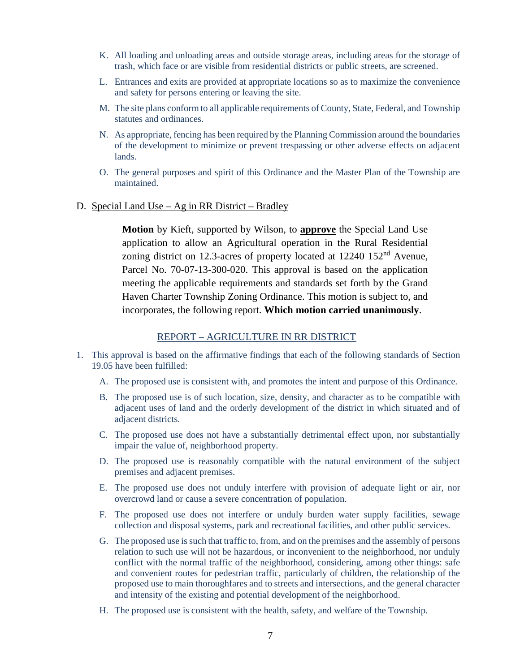- K. All loading and unloading areas and outside storage areas, including areas for the storage of trash, which face or are visible from residential districts or public streets, are screened.
- L. Entrances and exits are provided at appropriate locations so as to maximize the convenience and safety for persons entering or leaving the site.
- M. The site plans conform to all applicable requirements of County, State, Federal, and Township statutes and ordinances.
- N. As appropriate, fencing has been required by the Planning Commission around the boundaries of the development to minimize or prevent trespassing or other adverse effects on adjacent lands.
- O. The general purposes and spirit of this Ordinance and the Master Plan of the Township are maintained.
- D. Special Land Use Ag in RR District Bradley

**Motion** by Kieft, supported by Wilson, to **approve** the Special Land Use application to allow an Agricultural operation in the Rural Residential zoning district on 12.3-acres of property located at  $12240$   $152<sup>nd</sup>$  Avenue, Parcel No. 70-07-13-300-020. This approval is based on the application meeting the applicable requirements and standards set forth by the Grand Haven Charter Township Zoning Ordinance. This motion is subject to, and incorporates, the following report. **Which motion carried unanimously**.

#### REPORT – AGRICULTURE IN RR DISTRICT

- 1. This approval is based on the affirmative findings that each of the following standards of Section 19.05 have been fulfilled:
	- A. The proposed use is consistent with, and promotes the intent and purpose of this Ordinance.
	- B. The proposed use is of such location, size, density, and character as to be compatible with adjacent uses of land and the orderly development of the district in which situated and of adjacent districts.
	- C. The proposed use does not have a substantially detrimental effect upon, nor substantially impair the value of, neighborhood property.
	- D. The proposed use is reasonably compatible with the natural environment of the subject premises and adjacent premises.
	- E. The proposed use does not unduly interfere with provision of adequate light or air, nor overcrowd land or cause a severe concentration of population.
	- F. The proposed use does not interfere or unduly burden water supply facilities, sewage collection and disposal systems, park and recreational facilities, and other public services.
	- G. The proposed use is such that traffic to, from, and on the premises and the assembly of persons relation to such use will not be hazardous, or inconvenient to the neighborhood, nor unduly conflict with the normal traffic of the neighborhood, considering, among other things: safe and convenient routes for pedestrian traffic, particularly of children, the relationship of the proposed use to main thoroughfares and to streets and intersections, and the general character and intensity of the existing and potential development of the neighborhood.
	- H. The proposed use is consistent with the health, safety, and welfare of the Township.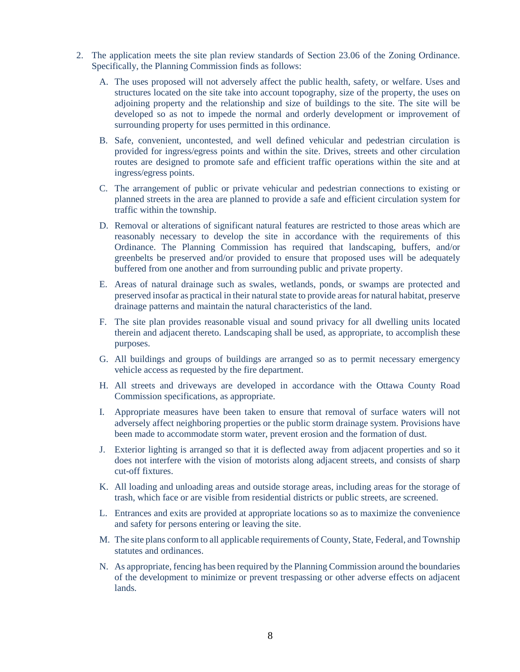- 2. The application meets the site plan review standards of Section 23.06 of the Zoning Ordinance. Specifically, the Planning Commission finds as follows:
	- A. The uses proposed will not adversely affect the public health, safety, or welfare. Uses and structures located on the site take into account topography, size of the property, the uses on adjoining property and the relationship and size of buildings to the site. The site will be developed so as not to impede the normal and orderly development or improvement of surrounding property for uses permitted in this ordinance.
	- B. Safe, convenient, uncontested, and well defined vehicular and pedestrian circulation is provided for ingress/egress points and within the site. Drives, streets and other circulation routes are designed to promote safe and efficient traffic operations within the site and at ingress/egress points.
	- C. The arrangement of public or private vehicular and pedestrian connections to existing or planned streets in the area are planned to provide a safe and efficient circulation system for traffic within the township.
	- D. Removal or alterations of significant natural features are restricted to those areas which are reasonably necessary to develop the site in accordance with the requirements of this Ordinance. The Planning Commission has required that landscaping, buffers, and/or greenbelts be preserved and/or provided to ensure that proposed uses will be adequately buffered from one another and from surrounding public and private property.
	- E. Areas of natural drainage such as swales, wetlands, ponds, or swamps are protected and preserved insofar as practical in their natural state to provide areas for natural habitat, preserve drainage patterns and maintain the natural characteristics of the land.
	- F. The site plan provides reasonable visual and sound privacy for all dwelling units located therein and adjacent thereto. Landscaping shall be used, as appropriate, to accomplish these purposes.
	- G. All buildings and groups of buildings are arranged so as to permit necessary emergency vehicle access as requested by the fire department.
	- H. All streets and driveways are developed in accordance with the Ottawa County Road Commission specifications, as appropriate.
	- I. Appropriate measures have been taken to ensure that removal of surface waters will not adversely affect neighboring properties or the public storm drainage system. Provisions have been made to accommodate storm water, prevent erosion and the formation of dust.
	- J. Exterior lighting is arranged so that it is deflected away from adjacent properties and so it does not interfere with the vision of motorists along adjacent streets, and consists of sharp cut-off fixtures.
	- K. All loading and unloading areas and outside storage areas, including areas for the storage of trash, which face or are visible from residential districts or public streets, are screened.
	- L. Entrances and exits are provided at appropriate locations so as to maximize the convenience and safety for persons entering or leaving the site.
	- M. The site plans conform to all applicable requirements of County, State, Federal, and Township statutes and ordinances.
	- N. As appropriate, fencing has been required by the Planning Commission around the boundaries of the development to minimize or prevent trespassing or other adverse effects on adjacent lands.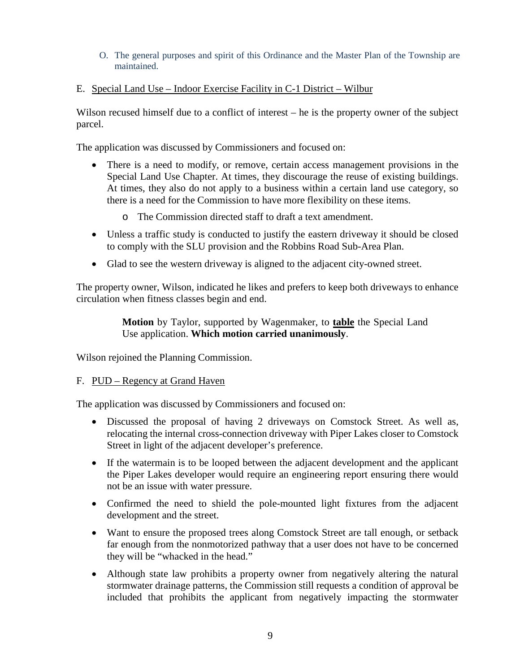#### O. The general purposes and spirit of this Ordinance and the Master Plan of the Township are maintained.

# E. Special Land Use – Indoor Exercise Facility in C-1 District – Wilbur

Wilson recused himself due to a conflict of interest – he is the property owner of the subject parcel.

The application was discussed by Commissioners and focused on:

- There is a need to modify, or remove, certain access management provisions in the Special Land Use Chapter. At times, they discourage the reuse of existing buildings. At times, they also do not apply to a business within a certain land use category, so there is a need for the Commission to have more flexibility on these items.
	- o The Commission directed staff to draft a text amendment.
- Unless a traffic study is conducted to justify the eastern driveway it should be closed to comply with the SLU provision and the Robbins Road Sub-Area Plan.
- Glad to see the western driveway is aligned to the adjacent city-owned street.

The property owner, Wilson, indicated he likes and prefers to keep both driveways to enhance circulation when fitness classes begin and end.

## **Motion** by Taylor, supported by Wagenmaker, to **table** the Special Land Use application. **Which motion carried unanimously**.

Wilson rejoined the Planning Commission.

#### F. PUD – Regency at Grand Haven

The application was discussed by Commissioners and focused on:

- Discussed the proposal of having 2 driveways on Comstock Street. As well as, relocating the internal cross-connection driveway with Piper Lakes closer to Comstock Street in light of the adjacent developer's preference.
- If the watermain is to be looped between the adjacent development and the applicant the Piper Lakes developer would require an engineering report ensuring there would not be an issue with water pressure.
- Confirmed the need to shield the pole-mounted light fixtures from the adjacent development and the street.
- Want to ensure the proposed trees along Comstock Street are tall enough, or setback far enough from the nonmotorized pathway that a user does not have to be concerned they will be "whacked in the head."
- Although state law prohibits a property owner from negatively altering the natural stormwater drainage patterns, the Commission still requests a condition of approval be included that prohibits the applicant from negatively impacting the stormwater